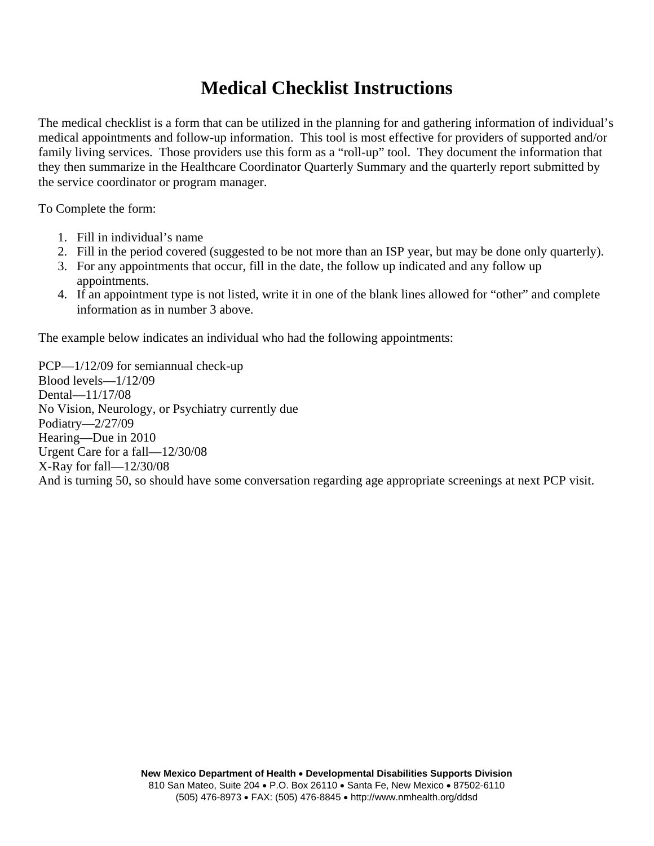## **Medical Checklist Instructions**

The medical checklist is a form that can be utilized in the planning for and gathering information of individual's medical appointments and follow-up information. This tool is most effective for providers of supported and/or family living services. Those providers use this form as a "roll-up" tool. They document the information that they then summarize in the Healthcare Coordinator Quarterly Summary and the quarterly report submitted by the service coordinator or program manager.

To Complete the form:

- 1. Fill in individual's name
- 2. Fill in the period covered (suggested to be not more than an ISP year, but may be done only quarterly).
- 3. For any appointments that occur, fill in the date, the follow up indicated and any follow up appointments.
- 4. If an appointment type is not listed, write it in one of the blank lines allowed for "other" and complete information as in number 3 above.

The example below indicates an individual who had the following appointments:

PCP—1/12/09 for semiannual check-up Blood levels—1/12/09 Dental—11/17/08 No Vision, Neurology, or Psychiatry currently due Podiatry—2/27/09 Hearing—Due in 2010 Urgent Care for a fall—12/30/08 X-Ray for fall—12/30/08 And is turning 50, so should have some conversation regarding age appropriate screenings at next PCP visit.